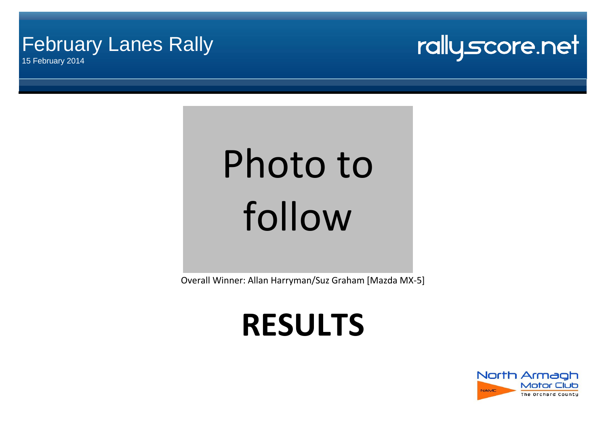### February Lanes Rally

15 February 2014



# Photo to follow

Overall Winner: Allan Harryman/Suz Graham [Mazda MX-5]

## **RESULTS**

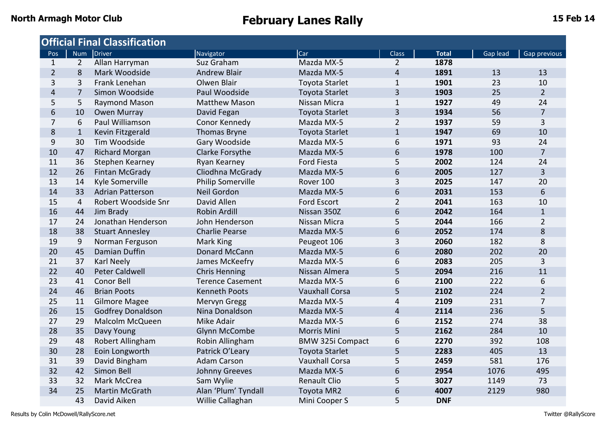| <b>Official Final Classification</b> |                |                          |                         |                         |                  |              |          |                |  |  |  |  |
|--------------------------------------|----------------|--------------------------|-------------------------|-------------------------|------------------|--------------|----------|----------------|--|--|--|--|
| Pos                                  |                | Num Driver               | Navigator               | Car                     | <b>Class</b>     | <b>Total</b> | Gap lead | Gap previous   |  |  |  |  |
| $\mathbf{1}$                         | $\overline{2}$ | Allan Harryman           | Suz Graham              | Mazda MX-5              | $\overline{2}$   | 1878         |          |                |  |  |  |  |
| $\overline{2}$                       | 8              | Mark Woodside            | <b>Andrew Blair</b>     | Mazda MX-5              | 4                | 1891         | 13       | 13             |  |  |  |  |
| 3                                    | 3              | Frank Lenehan            | Olwen Blair             | <b>Toyota Starlet</b>   | $\mathbf{1}$     | 1901         | 23       | 10             |  |  |  |  |
| $\overline{4}$                       | $\overline{7}$ | Simon Woodside           | Paul Woodside           | <b>Toyota Starlet</b>   | 3                | 1903         | 25       | $2^{\circ}$    |  |  |  |  |
| 5                                    | 5              | Raymond Mason            | <b>Matthew Mason</b>    | Nissan Micra            | $\mathbf{1}$     | 1927         | 49       | 24             |  |  |  |  |
| 6                                    | 10             | <b>Owen Murray</b>       | David Fegan             | <b>Toyota Starlet</b>   | 3                | 1934         | 56       | $\overline{7}$ |  |  |  |  |
| $\overline{7}$                       | 6              | Paul Williamson          | Conor Kennedy           | Mazda MX-5              | $\overline{2}$   | 1937         | 59       | 3              |  |  |  |  |
| 8                                    | $\mathbf{1}$   | Kevin Fitzgerald         | Thomas Bryne            | <b>Toyota Starlet</b>   | $\mathbf{1}$     | 1947         | 69       | 10             |  |  |  |  |
| 9                                    | 30             | Tim Woodside             | Gary Woodside           | Mazda MX-5              | 6                | 1971         | 93       | 24             |  |  |  |  |
| 10                                   | 47             | <b>Richard Morgan</b>    | Clarke Forsythe         | Mazda MX-5              | 6                | 1978         | 100      | $\overline{7}$ |  |  |  |  |
| 11                                   | 36             | Stephen Kearney          | Ryan Kearney            | Ford Fiesta             | 5                | 2002         | 124      | 24             |  |  |  |  |
| 12                                   | 26             | Fintan McGrady           | Cliodhna McGrady        | Mazda MX-5              | 6                | 2005         | 127      | $\overline{3}$ |  |  |  |  |
| 13                                   | 14             | Kyle Somerville          | Philip Somerville       | Rover 100               | 3                | 2025         | 147      | 20             |  |  |  |  |
| 14                                   | 33             | <b>Adrian Patterson</b>  | Neil Gordon             | Mazda MX-5              | 6                | 2031         | 153      | 6              |  |  |  |  |
| 15                                   | $\overline{4}$ | Robert Woodside Snr      | David Allen             | <b>Ford Escort</b>      | $\overline{2}$   | 2041         | 163      | 10             |  |  |  |  |
| 16                                   | 44             | Jim Brady                | Robin Ardill            | Nissan 350Z             | 6                | 2042         | 164      | $\mathbf{1}$   |  |  |  |  |
| 17                                   | 24             | Jonathan Henderson       | John Henderson          | Nissan Micra            | 5                | 2044         | 166      | $\overline{2}$ |  |  |  |  |
| 18                                   | 38             | <b>Stuart Annesley</b>   | <b>Charlie Pearse</b>   | Mazda MX-5              | 6                | 2052         | 174      | 8              |  |  |  |  |
| 19                                   | 9              | Norman Ferguson          | Mark King               | Peugeot 106             | 3                | 2060         | 182      | 8              |  |  |  |  |
| 20                                   | 45             | Damian Duffin            | Donard McCann           | Mazda MX-5              | 6                | 2080         | 202      | 20             |  |  |  |  |
| 21                                   | 37             | <b>Karl Neely</b>        | James McKeefry          | Mazda MX-5              | 6                | 2083         | 205      | 3              |  |  |  |  |
| 22                                   | 40             | <b>Peter Caldwell</b>    | <b>Chris Henning</b>    | Nissan Almera           | 5                | 2094         | 216      | 11             |  |  |  |  |
| 23                                   | 41             | Conor Bell               | <b>Terence Casement</b> | Mazda MX-5              | 6                | 2100         | 222      | 6              |  |  |  |  |
| 24                                   | 46             | <b>Brian Poots</b>       | <b>Kenneth Poots</b>    | <b>Vauxhall Corsa</b>   | 5                | 2102         | 224      | $\overline{2}$ |  |  |  |  |
| 25                                   | 11             | <b>Gilmore Magee</b>     | Mervyn Gregg            | Mazda MX-5              | 4                | 2109         | 231      | $\overline{7}$ |  |  |  |  |
| 26                                   | 15             | <b>Godfrey Donaldson</b> | Nina Donaldson          | Mazda MX-5              | $\overline{4}$   | 2114         | 236      | 5              |  |  |  |  |
| 27                                   | 29             | Malcolm McQueen          | Mike Adair              | Mazda MX-5              | 6                | 2152         | 274      | 38             |  |  |  |  |
| 28                                   | 35             | Davy Young               | Glynn McCombe           | Morris Mini             | 5                | 2162         | 284      | 10             |  |  |  |  |
| 29                                   | 48             | Robert Allingham         | Robin Allingham         | <b>BMW 325i Compact</b> | 6                | 2270         | 392      | 108            |  |  |  |  |
| 30                                   | 28             | Eoin Longworth           | Patrick O'Leary         | <b>Toyota Starlet</b>   | 5                | 2283         | 405      | 13             |  |  |  |  |
| 31                                   | 39             | David Bingham            | Adam Carson             | <b>Vauxhall Corsa</b>   | 5                | 2459         | 581      | 176            |  |  |  |  |
| 32                                   | 42             | Simon Bell               | Johnny Greeves          | Mazda MX-5              | $\boldsymbol{6}$ | 2954         | 1076     | 495            |  |  |  |  |
| 33                                   | 32             | Mark McCrea              | Sam Wylie               | <b>Renault Clio</b>     | 5                | 3027         | 1149     | 73             |  |  |  |  |
| 34                                   | 25             | <b>Martin McGrath</b>    | Alan 'Plum' Tyndall     | Toyota MR2              | 6                | 4007         | 2129     | 980            |  |  |  |  |
|                                      | 43             | David Aiken              | Willie Callaghan        | Mini Cooper S           | 5                | <b>DNF</b>   |          |                |  |  |  |  |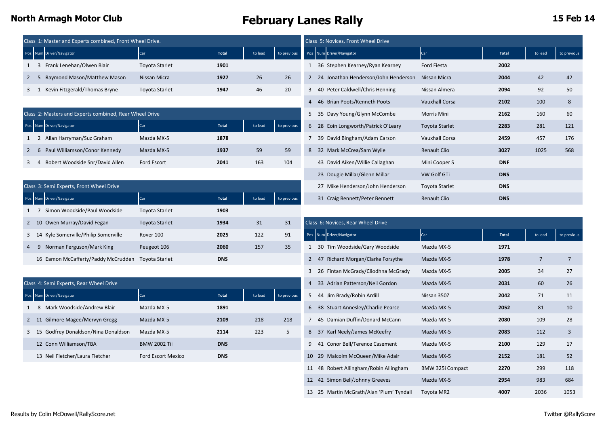|  | Class 1: Master and Experts combined, Front Wheel Drive. |                       |       |         |             |  |  | Class 5: Novices, Front Wheel Drive    |                        |       |         |             |  |  |  |  |
|--|----------------------------------------------------------|-----------------------|-------|---------|-------------|--|--|----------------------------------------|------------------------|-------|---------|-------------|--|--|--|--|
|  | Pos Num Driver/Navigator                                 | Car                   | Total | to lead | to previous |  |  | Pos Num Driver/Navigator               | Car                    | Total | to lead | to previous |  |  |  |  |
|  | Frank Lenehan/Olwen Blair                                | <b>Toyota Starlet</b> | 1901  |         |             |  |  | 36 Stephen Kearney/Ryan Kearney        | Ford Fiesta            | 2002  |         |             |  |  |  |  |
|  | Raymond Mason/Matthew Mason                              | Nissan Micra          | 1927  | 26      | 26          |  |  | 2 24 Jonathan Henderson/John Henderson | Nissan Micra           | 2044  | 42      | 42          |  |  |  |  |
|  | Kevin Fitzgerald/Thomas Bryne                            | <b>Toyota Starlet</b> | 1947  | 46      | 20          |  |  | 3 40 Peter Caldwell/Chris Henning      | Nissan Almera          | 2094  | 92      | 50          |  |  |  |  |
|  |                                                          |                       |       |         |             |  |  | AC Drian Doots Wonnath Doots           | <i>Maureball Carea</i> | 2102  | 100     |             |  |  |  |  |

|             | Class 2: Masters and Experts combined, Rear Wheel Drive |             |       |         |             | 5 35 Davy Young/Glynn McCombe       | Morris Mini           | 2162       | 160  | 60  |
|-------------|---------------------------------------------------------|-------------|-------|---------|-------------|-------------------------------------|-----------------------|------------|------|-----|
|             | Pos Num Driver/Navigator                                | Car         | Total | to lead | to previous | 6 28 Eoin Longworth/Patrick O'Leary | <b>Toyota Starlet</b> | 2283       | 281  | 121 |
|             | Allan Harryman/Suz Graham                               | Mazda MX-5  | 1878  |         |             | 7 39 David Bingham/Adam Carson      | Vauxhall Corsa        | 2459       | 457  | 176 |
| $2 \quad 6$ | Paul Williamson/Conor Kennedy                           | Mazda MX-5  | 1937  | 59      | 59          | 32 Mark McCrea/Sam Wylie            | Renault Clio          | 3027       | 1025 | 568 |
|             | Robert Woodside Snr/David Allen                         | Ford Escort | 2041  | 163     | 104         | 43 David Aiken/Willie Callaghan     | Mini Cooper S         | <b>DNF</b> |      |     |

|     | Class 3: Semi Experts, Front Wheel Drive |                       |            |         |             | 27 Mike Henderson/John Henderson       | Toyota Starlet      | <b>DNS</b>   |         |             |
|-----|------------------------------------------|-----------------------|------------|---------|-------------|----------------------------------------|---------------------|--------------|---------|-------------|
|     | Pos Num Driver/Navigator                 | Car                   | Total      | to lead | to previous | 31 Craig Bennett/Peter Bennett         | <b>Renault Clio</b> | <b>DNS</b>   |         |             |
|     | Simon Woodside/Paul Woodside             | <b>Toyota Starlet</b> | 1903       |         |             |                                        |                     |              |         |             |
|     | 2 10 Owen Murray/David Fegan             | <b>Toyota Starlet</b> | 1934       | 31      | 31          | Class 6: Novices, Rear Wheel Drive     |                     |              |         |             |
|     | 3 14 Kyle Somerville/Philip Somerville   | Rover 100             | 2025       | 122     | 91          | Num Driver/Navigator<br>Pos            | <b>Car</b>          | <b>Total</b> | to lead | to previous |
| 4 9 | Norman Ferguson/Mark King                | Peugeot 106           | 2060       | 157     | 35          | 30 Tim Woodside/Gary Woodside          | Mazda MX-5          | 1971         |         |             |
|     | 16 Eamon McCafferty/Paddy McCrudden      | Toyota Starlet        | <b>DNS</b> |         |             | Richard Morgan/Clarke Forsythe<br>2 47 | Mazda MX-5          | 1978         |         |             |

| Class 4: Semi Experts, Rear Wheel Drive    |                           |              |         |             | $\overline{4}$ | 33 Adrian Patterson/Neil Gordon   | Mazda MX-5  | 2031 | 60  | 26 |
|--------------------------------------------|---------------------------|--------------|---------|-------------|----------------|-----------------------------------|-------------|------|-----|----|
| Pos Num Driver/Navigator                   | Car                       | <b>Total</b> | to lead | to previous |                | 5 44 Jim Brady/Robin Ardill       | Nissan 350Z | 2042 | 71  | 11 |
| Mark Woodside/Andrew Blair<br>8            | Mazda MX-5                | 1891         |         |             | 6              | 38 Stuart Annesley/Charlie Pearse | Mazda MX-5  | 2052 | 81  | 10 |
| Gilmore Magee/Mervyn Gregg<br>$2 \quad 11$ | Mazda MX-5                | 2109         | 218     | 218         |                | 45 Damian Duffin/Donard McCann    | Mazda MX-5  | 2080 | 109 | 28 |
| 3 15 Godfrey Donaldson/Nina Donaldson      | Mazda MX-5                | 2114         | 223     | 5           | 8              | 37 Karl Neely/James McKeefry      | Mazda MX-5  | 2083 | 112 |    |
| 12 Conn Williamson/TBA                     | <b>BMW 2002 Tii</b>       | <b>DNS</b>   |         |             | 9              | 41 Conor Bell/Terence Casement    | Mazda MX-5  | 2100 | 129 | 17 |
| 13 Neil Fletcher/Laura Fletcher            | <b>Ford Escort Mexico</b> | <b>DNS</b>   |         |             |                | 10 29 Malcolm McQueen/Mike Adair  | Mazda MX-5  | 2152 | 181 | 52 |

|   | Class 5: Novices, Front Wheel Drive |                                      |                       |              |         |             |  |  |  |  |  |  |
|---|-------------------------------------|--------------------------------------|-----------------------|--------------|---------|-------------|--|--|--|--|--|--|
|   |                                     | Pos Num Driver/Navigator             | Car                   | <b>Total</b> | to lead | to previous |  |  |  |  |  |  |
| 1 |                                     | 36 Stephen Kearney/Ryan Kearney      | <b>Ford Fiesta</b>    | 2002         |         |             |  |  |  |  |  |  |
| 2 |                                     | 24 Jonathan Henderson/John Henderson | Nissan Micra          | 2044         | 42      | 42          |  |  |  |  |  |  |
| 3 |                                     | 40 Peter Caldwell/Chris Henning      | Nissan Almera         | 2094         | 92      | 50          |  |  |  |  |  |  |
| 4 |                                     | 46 Brian Poots/Kenneth Poots         | <b>Vauxhall Corsa</b> | 2102         | 100     | 8           |  |  |  |  |  |  |
| 5 |                                     | 35 Davy Young/Glynn McCombe          | Morris Mini           | 2162         | 160     | 60          |  |  |  |  |  |  |
| 6 |                                     | 28 Eoin Longworth/Patrick O'Leary    | Toyota Starlet        | 2283         | 281     | 121         |  |  |  |  |  |  |
| 7 |                                     | 39 David Bingham/Adam Carson         | <b>Vauxhall Corsa</b> | 2459         | 457     | 176         |  |  |  |  |  |  |
| 8 |                                     | 32 Mark McCrea/Sam Wylie             | Renault Clio          | 3027         | 1025    | 568         |  |  |  |  |  |  |
|   |                                     | 43 David Aiken/Willie Callaghan      | Mini Cooper S         | <b>DNF</b>   |         |             |  |  |  |  |  |  |
|   | 23                                  | Dougie Millar/Glenn Millar           | <b>VW Golf GTi</b>    | <b>DNS</b>   |         |             |  |  |  |  |  |  |
|   | 27                                  | Mike Henderson/John Henderson        | Toyota Starlet        | <b>DNS</b>   |         |             |  |  |  |  |  |  |
|   |                                     | 31 Craig Bennett/Peter Bennett       | <b>Renault Clio</b>   | <b>DNS</b>   |         |             |  |  |  |  |  |  |

| 10 Owen Murray/David Fegan                         | Toyota Starlet            | 1934       | 31      | 31          |                | Class 6: Novices, Rear Wheel Drive     |                  |              |                |                |
|----------------------------------------------------|---------------------------|------------|---------|-------------|----------------|----------------------------------------|------------------|--------------|----------------|----------------|
| 14 Kyle Somerville/Philip Somerville               | Rover 100                 | 2025       | 122     | 91          |                | Pos Num Driver/Navigator               | Car              | <b>Total</b> | to lead        | to previous    |
| 9 Norman Ferguson/Mark King                        | Peugeot 106               | 2060       | 157     | 35          |                | 30 Tim Woodside/Gary Woodside          | Mazda MX-5       | 1971         |                |                |
| 16 Eamon McCafferty/Paddy McCrudden Toyota Starlet |                           | <b>DNS</b> |         |             |                | 2 47 Richard Morgan/Clarke Forsythe    | Mazda MX-5       | 1978         | $\overline{7}$ | $\overline{7}$ |
|                                                    |                           |            |         |             | 3              | 26 Fintan McGrady/Cliodhna McGrady     | Mazda MX-5       | 2005         | 34             | 27             |
| 4: Semi Experts, Rear Wheel Drive                  |                           |            |         |             | 4              | 33 Adrian Patterson/Neil Gordon        | Mazda MX-5       | 2031         | 60             | 26             |
| <b>Jum</b> Driver/Navigator                        | Car                       | Total      | to lead | to previous | 5              | 44 Jim Brady/Robin Ardill              | Nissan 350Z      | 2042         | 71             | 11             |
| 8 Mark Woodside/Andrew Blair                       | Mazda MX-5                | 1891       |         |             |                | 6 38 Stuart Annesley/Charlie Pearse    | Mazda MX-5       | 2052         | 81             | 10             |
| 11 Gilmore Magee/Mervyn Gregg                      | Mazda MX-5                | 2109       | 218     | 218         | $\overline{7}$ | 45 Damian Duffin/Donard McCann         | Mazda MX-5       | 2080         | 109            | 28             |
| 15 Godfrey Donaldson/Nina Donaldson                | Mazda MX-5                | 2114       | 223     | 5           | 8              | 37 Karl Neely/James McKeefry           | Mazda MX-5       | 2083         | 112            | $\overline{3}$ |
| 12 Conn Williamson/TBA                             | <b>BMW 2002 Tii</b>       | <b>DNS</b> |         |             | 9              | 41 Conor Bell/Terence Casement         | Mazda MX-5       | 2100         | 129            | 17             |
| 13 Neil Fletcher/Laura Fletcher                    | <b>Ford Escort Mexico</b> | <b>DNS</b> |         |             |                | 10 29 Malcolm McQueen/Mike Adair       | Mazda MX-5       | 2152         | 181            | 52             |
|                                                    |                           |            |         |             |                | 11 48 Robert Allingham/Robin Allingham | BMW 325i Compact | 2270         | 299            | 118            |
|                                                    |                           |            |         |             | 12             | 42 Simon Bell/Johnny Greeves           | Mazda MX-5       | 2954         | 983            | 684            |
|                                                    |                           |            |         |             | 13             | 25 Martin McGrath/Alan 'Plum' Tyndall  | Toyota MR2       | 4007         | 2036           | 1053           |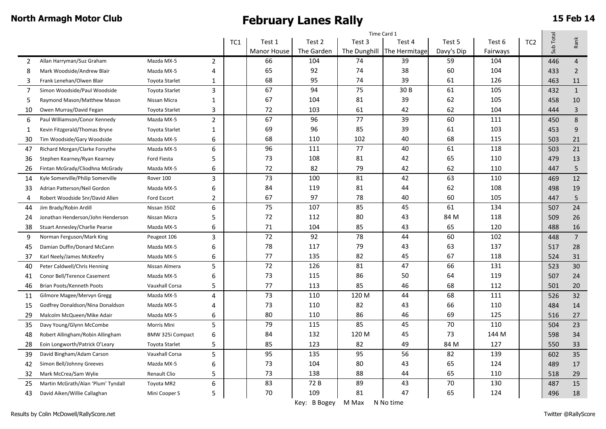|    |                                    |                       |                          | Time Card 1 |                    |            |              |               |            |          |                 |           |                |
|----|------------------------------------|-----------------------|--------------------------|-------------|--------------------|------------|--------------|---------------|------------|----------|-----------------|-----------|----------------|
|    |                                    |                       |                          | TC1         | Test 1             | Test 2     | Test 3       | Test 4        | Test 5     | Test 6   | TC <sub>2</sub> | Sub Total | Rank           |
|    |                                    |                       |                          |             | <b>Manor House</b> | The Garden | The Dunghill | The Hermitage | Davy's Dip | Fairways |                 |           |                |
| 2  | Allan Harryman/Suz Graham          | Mazda MX-5            | 2                        |             | 66                 | 104        | 74           | 39            | 59         | 104      |                 | 446       | $\overline{4}$ |
| 8  | Mark Woodside/Andrew Blair         | Mazda MX-5            | 4                        |             | 65                 | 92         | 74           | 38            | 60         | 104      |                 | 433       | $\overline{2}$ |
| 3  | Frank Lenehan/Olwen Blair          | <b>Toyota Starlet</b> | 1                        |             | 68                 | 95         | 74           | 39            | 61         | 126      |                 | 463       | 11             |
| 7  | Simon Woodside/Paul Woodside       | <b>Toyota Starlet</b> | 3                        |             | 67                 | 94         | 75           | 30 B          | 61         | 105      |                 | 432       | 1              |
| 5  | Raymond Mason/Matthew Mason        | Nissan Micra          | 1                        |             | 67                 | 104        | 81           | 39            | 62         | 105      |                 | 458       | 10             |
| 10 | Owen Murray/David Fegan            | <b>Toyota Starlet</b> | 3                        |             | 72                 | 103        | 61           | 42            | 62         | 104      |                 | 444       | $\overline{3}$ |
| 6  | Paul Williamson/Conor Kennedy      | Mazda MX-5            | $\overline{2}$           |             | 67                 | 96         | 77           | 39            | 60         | 111      |                 | 450       | 8              |
| 1  | Kevin Fitzgerald/Thomas Bryne      | <b>Toyota Starlet</b> | 1                        |             | 69                 | 96         | 85           | 39            | 61         | 103      |                 | 453       | $9\,$          |
| 30 | Tim Woodside/Gary Woodside         | Mazda MX-5            | 6                        |             | 68                 | 110        | 102          | 40            | 68         | 115      |                 | 503       | 21             |
| 47 | Richard Morgan/Clarke Forsythe     | Mazda MX-5            | 6                        |             | 96                 | 111        | 77           | 40            | 61         | 118      |                 | 503       | 21             |
| 36 | Stephen Kearney/Ryan Kearney       | <b>Ford Fiesta</b>    | 5                        |             | 73                 | 108        | 81           | 42            | 65         | 110      |                 | 479       | 13             |
| 26 | Fintan McGrady/Cliodhna McGrady    | Mazda MX-5            | 6                        |             | 72                 | 82         | 79           | 42            | 62         | 110      |                 | 447       | 5              |
| 14 | Kyle Somerville/Philip Somerville  | Rover 100             | 3                        |             | 73                 | 100        | 81           | 42            | 63         | 110      |                 | 469       | 12             |
| 33 | Adrian Patterson/Neil Gordon       | Mazda MX-5            | 6                        |             | 84                 | 119        | 81           | 44            | 62         | 108      |                 | 498       | 19             |
| 4  | Robert Woodside Snr/David Allen    | Ford Escort           | $\overline{\phantom{a}}$ |             | 67                 | 97         | 78           | 40            | 60         | 105      |                 | 447       | 5              |
| 44 | Jim Brady/Robin Ardill             | Nissan 350Z           | 6                        |             | 75                 | 107        | 85           | 45            | 61         | 134      |                 | 507       | 24             |
| 24 | Jonathan Henderson/John Henderson  | Nissan Micra          | 5                        |             | 72                 | 112        | 80           | 43            | 84 M       | 118      |                 | 509       | 26             |
| 38 | Stuart Annesley/Charlie Pearse     | Mazda MX-5            | 6                        |             | 71                 | 104        | 85           | 43            | 65         | 120      |                 | 488       | 16             |
| 9  | Norman Ferguson/Mark King          | Peugeot 106           | 3                        |             | 72                 | 92         | 78           | 44            | 60         | 102      |                 | 448       | 7 <sup>7</sup> |
| 45 | Damian Duffin/Donard McCann        | Mazda MX-5            | 6                        |             | 78                 | 117        | 79           | 43            | 63         | 137      |                 | 517       | 28             |
| 37 | Karl Neely/James McKeefry          | Mazda MX-5            | 6                        |             | 77                 | 135        | 82           | 45            | 67         | 118      |                 | 524       | 31             |
| 40 | Peter Caldwell/Chris Henning       | Nissan Almera         | 5                        |             | 72                 | 126        | 81           | 47            | 66         | 131      |                 | 523       | 30             |
| 41 | Conor Bell/Terence Casement        | Mazda MX-5            | 6                        |             | 73                 | 115        | 86           | 50            | 64         | 119      |                 | 507       | 24             |
| 46 | Brian Poots/Kenneth Poots          | <b>Vauxhall Corsa</b> | 5                        |             | 77                 | 113        | 85           | 46            | 68         | 112      |                 | 501       | 20             |
| 11 | Gilmore Magee/Mervyn Gregg         | Mazda MX-5            | 4                        |             | 73                 | 110        | 120 M        | 44            | 68         | 111      |                 | 526       | 32             |
| 15 | Godfrey Donaldson/Nina Donaldson   | Mazda MX-5            | 4                        |             | 73                 | 110        | 82           | 43            | 66         | 110      |                 | 484       | 14             |
| 29 | Malcolm McQueen/Mike Adair         | Mazda MX-5            | 6                        |             | 80                 | 110        | 86           | 46            | 69         | 125      |                 | 516       | 27             |
| 35 | Davy Young/Glynn McCombe           | Morris Mini           | 5                        |             | 79                 | 115        | 85           | 45            | 70         | 110      |                 | 504       | 23             |
| 48 | Robert Allingham/Robin Allingham   | BMW 325i Compact      | 6                        |             | 84                 | 132        | 120 M        | 45            | 73         | 144 M    |                 | 598       | 34             |
| 28 | Eoin Longworth/Patrick O'Leary     | <b>Toyota Starlet</b> | 5                        |             | 85                 | 123        | 82           | 49            | 84 M       | 127      |                 | 550       | 33             |
| 39 | David Bingham/Adam Carson          | <b>Vauxhall Corsa</b> | 5                        |             | 95                 | 135        | 95           | 56            | 82         | 139      |                 | 602       | 35             |
| 42 | Simon Bell/Johnny Greeves          | Mazda MX-5            | 6                        |             | 73                 | 104        | 80           | 43            | 65         | 124      |                 | 489       | 17             |
| 32 | Mark McCrea/Sam Wylie              | Renault Clio          | 5                        |             | 73                 | 138        | 88           | 44            | 65         | 110      |                 | 518       | 29             |
| 25 | Martin McGrath/Alan 'Plum' Tyndall | Toyota MR2            | 6                        |             | 83                 | 72B        | 89           | 43            | 70         | 130      |                 | 487       | 15             |
| 43 | David Aiken/Willie Callaghan       | Mini Cooper S         | 5                        |             | 70                 | 109        | 81           | 47            | 65         | 124      |                 | 496       | 18             |

Key: B Bogey M Max N No time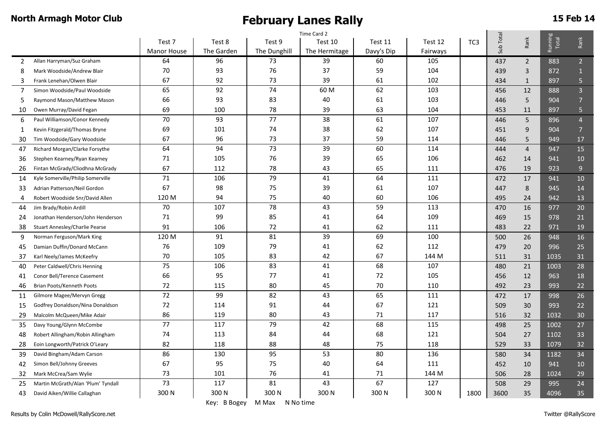|                |                                       | Time Card 2        |            |              |               |            |          |                 |           |                |                         |                |
|----------------|---------------------------------------|--------------------|------------|--------------|---------------|------------|----------|-----------------|-----------|----------------|-------------------------|----------------|
|                |                                       | Test 7             | Test 8     | Test 9       | Test 10       | Test 11    | Test 12  | TC <sub>3</sub> | Sub Total | Rank           | Running<br><b>Total</b> | Rank           |
|                |                                       | <b>Manor House</b> | The Garden | The Dunghill | The Hermitage | Davy's Dip | Fairways |                 |           |                |                         |                |
| 2              | Allan Harryman/Suz Graham             | 64                 | 96         | 73           | 39            | 60         | 105      |                 | 437       | $\overline{2}$ | 883                     | 2 <sup>7</sup> |
| 8              | Mark Woodside/Andrew Blair            | 70                 | 93         | 76           | 37            | 59         | 104      |                 | 439       | 3              | 872                     | $\mathbf{1}$   |
| 3              | Frank Lenehan/Olwen Blair             | 67                 | 92         | 73           | 39            | 61         | 102      |                 | 434       | $1\,$          | 897                     | 5              |
| $\overline{7}$ | Simon Woodside/Paul Woodside          | 65                 | 92         | 74           | 60 M          | 62         | 103      |                 | 456       | 12             | 888                     | $\overline{3}$ |
| 5              | Raymond Mason/Matthew Mason           | 66                 | 93         | 83           | 40            | 61         | 103      |                 | 446       | 5              | 904                     | $\overline{7}$ |
| 10             | Owen Murray/David Fegan               | 69                 | 100        | 78           | 39            | 63         | 104      |                 | 453       | 11             | 897                     | 5              |
| 6              | Paul Williamson/Conor Kennedy         | $70\,$             | 93         | 77           | 38            | 61         | 107      |                 | 446       | 5              | 896                     | $\overline{4}$ |
| 1              | Kevin Fitzgerald/Thomas Bryne         | 69                 | 101        | 74           | 38            | 62         | 107      |                 | 451       | 9              | 904                     | $\overline{7}$ |
| 30             | Tim Woodside/Gary Woodside            | 67                 | 96         | 73           | 37            | 59         | 114      |                 | 446       | 5              | 949                     | 17             |
| 47             | Richard Morgan/Clarke Forsythe        | 64                 | 94         | 73           | 39            | 60         | 114      |                 | 444       | $\overline{4}$ | 947                     | 15             |
| 36             | Stephen Kearney/Ryan Kearney          | 71                 | 105        | 76           | 39            | 65         | 106      |                 | 462       | 14             | 941                     | 10             |
| 26             | Fintan McGrady/Cliodhna McGrady       | 67                 | 112        | 78           | 43            | 65         | 111      |                 | 476       | 19             | 923                     | 9 <sup>°</sup> |
| 14             | Kyle Somerville/Philip Somerville     | 71                 | 106        | 79           | 41            | 64         | 111      |                 | 472       | 17             | 941                     | 10             |
| 33             | Adrian Patterson/Neil Gordon          | 67                 | 98         | 75           | 39            | 61         | 107      |                 | 447       | 8              | 945                     | 14             |
| 4              | Robert Woodside Snr/David Allen       | 120 M              | 94         | 75           | 40            | 60         | 106      |                 | 495       | 24             | 942                     | 13             |
| 44             | Jim Brady/Robin Ardill                | 70                 | 107        | 78           | 43            | 59         | 113      |                 | 470       | 16             | 977                     | 20             |
| 24             | Jonathan Henderson/John Henderson     | 71                 | 99         | 85           | 41            | 64         | 109      |                 | 469       | 15             | 978                     | 21             |
| 38             | <b>Stuart Annesley/Charlie Pearse</b> | 91                 | 106        | 72           | 41            | 62         | 111      |                 | 483       | 22             | 971                     | 19             |
| 9              | Norman Ferguson/Mark King             | 120 M              | 91         | 81           | 39            | 69         | 100      |                 | 500       | 26             | 948                     | 16             |
| 45             | Damian Duffin/Donard McCann           | 76                 | 109        | 79           | 41            | 62         | 112      |                 | 479       | 20             | 996                     | 25             |
| 37             | Karl Neely/James McKeefry             | 70                 | 105        | 83           | 42            | 67         | 144 M    |                 | 511       | 31             | 1035                    | 31             |
| 40             | Peter Caldwell/Chris Henning          | 75                 | 106        | 83           | 41            | 68         | 107      |                 | 480       | 21             | 1003                    | 28             |
| 41             | Conor Bell/Terence Casement           | 66                 | 95         | 77           | 41            | 72         | 105      |                 | 456       | 12             | 963                     | 18             |
| 46             | Brian Poots/Kenneth Poots             | 72                 | 115        | 80           | 45            | 70         | 110      |                 | 492       | 23             | 993                     | 22             |
| 11             | Gilmore Magee/Mervyn Gregg            | $\overline{72}$    | 99         | 82           | 43            | 65         | 111      |                 | 472       | 17             | 998                     | 26             |
| 15             | Godfrey Donaldson/Nina Donaldson      | 72                 | 114        | 91           | 44            | 67         | 121      |                 | 509       | 30             | 993                     | 22             |
| 29             | Malcolm McQueen/Mike Adair            | 86                 | 119        | 80           | 43            | 71         | 117      |                 | 516       | 32             | 1032                    | 30             |
| 35             | Davy Young/Glynn McCombe              | 77                 | 117        | 79           | 42            | 68         | 115      |                 | 498       | 25             | 1002                    | 27             |
| 48             | Robert Allingham/Robin Allingham      | 74                 | 113        | 84           | 44            | 68         | 121      |                 | 504       | 27             | 1102                    | 33             |
| 28             | Eoin Longworth/Patrick O'Leary        | 82                 | 118        | 88           | 48            | 75         | 118      |                 | 529       | 33             | 1079                    | 32             |
| 39             | David Bingham/Adam Carson             | 86                 | 130        | 95           | 53            | 80         | 136      |                 | 580       | 34             | 1182                    | 34             |
| 42             | Simon Bell/Johnny Greeves             | 67                 | 95         | 75           | 40            | 64         | 111      |                 | 452       | 10             | 941                     | 10             |
| 32             | Mark McCrea/Sam Wylie                 | 73                 | 101        | 76           | 41            | 71         | 144 M    |                 | 506       | 28             | 1024                    | 29             |
| 25             | Martin McGrath/Alan 'Plum' Tyndall    | 73                 | 117        | 81           | 43            | 67         | 127      |                 | 508       | 29             | 995                     | 24             |
| 43             | David Aiken/Willie Callaghan          | 300 N              | 300N       | 300 N        | 300 N         | 300N       | 300 N    | 1800            | 3600      | 35             | 4096                    | 35             |

Key: B Bogey M Max N No time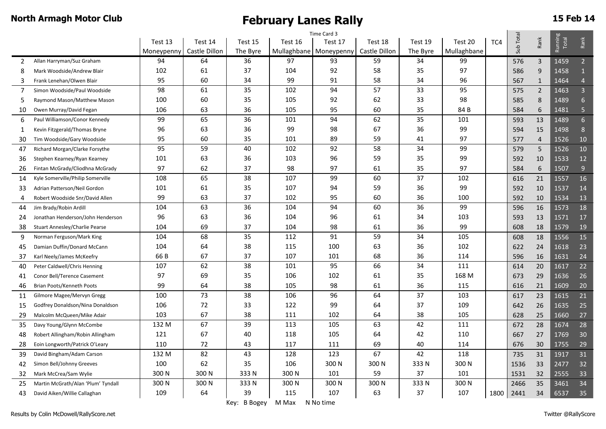|                                             | Time Card 3 |               |              |         |                          |               |          |             |     |           |                 |                  |                 |
|---------------------------------------------|-------------|---------------|--------------|---------|--------------------------|---------------|----------|-------------|-----|-----------|-----------------|------------------|-----------------|
|                                             | Test 13     | Test 14       | Test 15      | Test 16 | Test 17                  | Test 18       | Test 19  | Test 20     | TC4 | Sub Total | Rank            | Running<br>Total | Rank            |
|                                             | Moneypenny  | Castle Dillon | The Byre     |         | Mullaghbane   Moneypenny | Castle Dillon | The Byre | Mullaghbane |     |           |                 |                  |                 |
| Allan Harryman/Suz Graham<br>2              | 94          | 64            | 36           | 97      | 93                       | 59            | 34       | 99          |     | 576       | 3               | 1459             | $\overline{2}$  |
| 8<br>Mark Woodside/Andrew Blair             | 102         | 61            | 37           | 104     | 92                       | 58            | 35       | 97          |     | 586       | $9\,$           | 1458             |                 |
| 3<br>Frank Lenehan/Olwen Blair              | 95          | 60            | 34           | 99      | 91                       | 58            | 34       | 96          |     | 567       | $\mathbf{1}$    | 1464             | $\overline{4}$  |
| 7<br>Simon Woodside/Paul Woodside           | 98          | 61            | 35           | 102     | 94                       | 57            | 33       | 95          |     | 575       | $\overline{2}$  | 1463             | $\overline{3}$  |
| 5<br>Raymond Mason/Matthew Mason            | 100         | 60            | 35           | 105     | 92                       | 62            | 33       | 98          |     | 585       | $\,8\,$         | 1489             | 6               |
| Owen Murray/David Fegan<br>10               | 106         | 63            | 36           | 105     | 95                       | 60            | 35       | 84 B        |     | 584       | 6               | 1481             | $\overline{5}$  |
| Paul Williamson/Conor Kennedy<br>6          | 99          | 65            | 36           | 101     | 94                       | 62            | 35       | 101         |     | 593       | 13              | 1489             | $6\overline{6}$ |
| Kevin Fitzgerald/Thomas Bryne<br>1          | 96          | 63            | 36           | 99      | 98                       | 67            | 36       | 99          |     | 594       | 15              | 1498             | 8               |
| Tim Woodside/Gary Woodside<br>30            | 95          | 60            | 35           | 101     | 89                       | 59            | 41       | 97          |     | 577       | $\overline{4}$  | 1526             | 10              |
| Richard Morgan/Clarke Forsythe<br>47        | 95          | 59            | 40           | 102     | 92                       | 58            | 34       | 99          |     | 579       | $5\phantom{.0}$ | 1526             | 10              |
| Stephen Kearney/Ryan Kearney<br>36          | 101         | 63            | 36           | 103     | 96                       | 59            | 35       | 99          |     | 592       | 10              | 1533             | 12              |
| Fintan McGrady/Cliodhna McGrady<br>26       | 97          | 62            | 37           | 98      | 97                       | 61            | 35       | 97          |     | 584       | 6               | 1507             | 9               |
| Kyle Somerville/Philip Somerville<br>14     | 108         | 65            | 38           | 107     | 99                       | 60            | 37       | 102         |     | 616       | 21              | 1557             | 16              |
| Adrian Patterson/Neil Gordon<br>33          | 101         | 61            | 35           | 107     | 94                       | 59            | 36       | 99          |     | 592       | 10              | 1537             | 14              |
| Robert Woodside Snr/David Allen<br>4        | 99          | 63            | 37           | 102     | 95                       | 60            | 36       | 100         |     | 592       | 10              | 1534             | 13              |
| Jim Brady/Robin Ardill<br>44                | 104         | 63            | 36           | 104     | 94                       | 60            | 36       | 99          |     | 596       | 16              | 1573             | 18              |
| Jonathan Henderson/John Henderson<br>24     | 96          | 63            | 36           | 104     | 96                       | 61            | 34       | 103         |     | 593       | 13              | 1571             | 17              |
| 38<br><b>Stuart Annesley/Charlie Pearse</b> | 104         | 69            | 37           | 104     | 98                       | 61            | 36       | 99          |     | 608       | 18              | 1579             | 19              |
| 9<br>Norman Ferguson/Mark King              | 104         | 68            | 35           | 112     | 91                       | 59            | 34       | 105         |     | 608       | 18              | 1556             | 15              |
| Damian Duffin/Donard McCann<br>45           | 104         | 64            | 38           | 115     | 100                      | 63            | 36       | 102         |     | 622       | 24              | 1618             | 23              |
| Karl Neely/James McKeefry<br>37             | 66 B        | 67            | 37           | 107     | 101                      | 68            | 36       | 114         |     | 596       | 16              | 1631             | 24              |
| 40<br>Peter Caldwell/Chris Henning          | 107         | 62            | 38           | 101     | 95                       | 66            | 34       | 111         |     | 614       | 20              | 1617             | 22              |
| Conor Bell/Terence Casement<br>41           | 97          | 69            | 35           | 106     | 102                      | 61            | 35       | 168 M       |     | 673       | 29              | 1636             | 26              |
| Brian Poots/Kenneth Poots<br>46             | 99          | 64            | 38           | 105     | 98                       | 61            | 36       | 115         |     | 616       | 21              | 1609             | 20              |
| Gilmore Magee/Mervyn Gregg<br>11            | 100         | 73            | 38           | 106     | 96                       | 64            | 37       | 103         |     | 617       | 23              | 1615             | 21              |
| Godfrey Donaldson/Nina Donaldson<br>15      | 106         | 72            | 33           | 122     | 99                       | 64            | 37       | 109         |     | 642       | 26              | 1635             | 25              |
| 29<br>Malcolm McQueen/Mike Adair            | 103         | 67            | 38           | 111     | 102                      | 64            | 38       | 105         |     | 628       | 25              | 1660             | 27              |
| 35<br>Davy Young/Glynn McCombe              | 132 M       | 67            | 39           | 113     | 105                      | 63            | 42       | 111         |     | 672       | 28              | 1674             | 28              |
| Robert Allingham/Robin Allingham<br>48      | 121         | 67            | 40           | 118     | 105                      | 64            | 42       | 110         |     | 667       | 27              | 1769             | 30              |
| 28<br>Eoin Longworth/Patrick O'Leary        | 110         | 72            | 43           | 117     | 111                      | 69            | 40       | 114         |     | 676       | 30              | 1755             | 29              |
| David Bingham/Adam Carson<br>39             | 132 M       | 82            | 43           | 128     | 123                      | 67            | 42       | 118         |     | 735       | 31              | 1917             | 31              |
| Simon Bell/Johnny Greeves<br>42             | 100         | 62            | 35           | 106     | 300 N                    | 300N          | 333 N    | 300 N       |     | 1536      | 33              | 2477             | 32              |
| 32<br>Mark McCrea/Sam Wylie                 | 300N        | 300 N         | 333N         | 300 N   | 101                      | 59            | 37       | 101         |     | 1531      | 32              | 2555             | 33              |
| Martin McGrath/Alan 'Plum' Tyndall<br>25    | 300 N       | 300 N         | 333N         | 300 N   | 300 N                    | 300N          | 333N     | 300 N       |     | 2466      | 35              | 3461             | 34              |
| David Aiken/Willie Callaghan<br>43          | 109         | 64            | 39           | 115     | 107                      | 63            | 37       | 107         |     | 1800 2441 | 34              | 6537             | 35              |
|                                             |             |               | Key: B Bogey | M Max   | N No time                |               |          |             |     |           |                 |                  |                 |

Results by Colin McDowell/RallyScore.net Twitter @RallyScore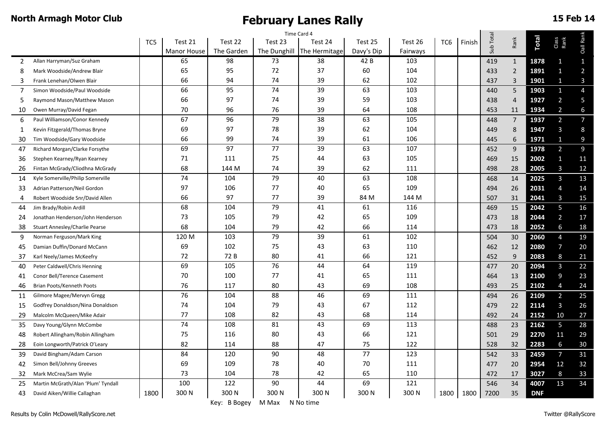| Time Card 4    |                                    |      |                    |            |              |               |                 |          |                 |        |           |                |              |                         |                |
|----------------|------------------------------------|------|--------------------|------------|--------------|---------------|-----------------|----------|-----------------|--------|-----------|----------------|--------------|-------------------------|----------------|
|                |                                    | TC5  | Test 21            | Test 22    | Test 23      | Test 24       | Test 25         | Test 26  | TC <sub>6</sub> | Finish | Sub Total | Rank           | <b>Total</b> | Class<br>Rank           | Oall Rank      |
|                |                                    |      | <b>Manor House</b> | The Garden | The Dunghill | The Hermitage | Davy's Dip      | Fairways |                 |        |           |                |              |                         |                |
| $\overline{2}$ | Allan Harryman/Suz Graham          |      | 65                 | 98         | 73           | 38            | 42 B            | 103      |                 |        | 419       | $\mathbf{1}$   | 1878         | 1                       | $\mathbf{1}$   |
| 8              | Mark Woodside/Andrew Blair         |      | 65                 | 95         | 72           | 37            | 60              | 104      |                 |        | 433       | $\overline{2}$ | 1891         | $\mathbf{1}$            | $\overline{a}$ |
| 3              | Frank Lenehan/Olwen Blair          |      | 66                 | 94         | 74           | 39            | 62              | 102      |                 |        | 437       | 3              | 1901         | 1                       | $\mathbf{3}$   |
| 7              | Simon Woodside/Paul Woodside       |      | 66                 | 95         | 74           | 39            | 63              | 103      |                 |        | 440       | 5              | 1903         | $\mathbf{1}$            | $\overline{4}$ |
| 5              | Raymond Mason/Matthew Mason        |      | 66                 | 97         | 74           | 39            | 59              | 103      |                 |        | 438       | $\overline{4}$ | 1927         | $\overline{\mathbf{c}}$ | 5              |
| 10             | Owen Murray/David Fegan            |      | 70                 | 96         | 76           | 39            | 64              | 108      |                 |        | 453       | 11             | 1934         | $\overline{2}$          | 6              |
| 6              | Paul Williamson/Conor Kennedy      |      | 67                 | 96         | 79           | 38            | 63              | 105      |                 |        | 448       | $\overline{7}$ | 1937         | $\overline{a}$          | $\overline{7}$ |
| 1              | Kevin Fitzgerald/Thomas Bryne      |      | 69                 | 97         | 78           | 39            | 62              | 104      |                 |        | 449       | 8              | 1947         | $\overline{3}$          | $\,8\,$        |
| 30             | Tim Woodside/Gary Woodside         |      | 66                 | 99         | 74           | 39            | 61              | 106      |                 |        | 445       | 6              | 1971         | $\mathbf{1}$            | 9              |
| 47             | Richard Morgan/Clarke Forsythe     |      | 69                 | 97         | 77           | 39            | 63              | 107      |                 |        | 452       | $9$            | 1978         | $\overline{a}$          | $\overline{9}$ |
| 36             | Stephen Kearney/Ryan Kearney       |      | 71                 | 111        | 75           | 44            | 63              | 105      |                 |        | 469       | 15             | 2002         | $\mathbf{1}$            | 11             |
| 26             | Fintan McGrady/Cliodhna McGrady    |      | 68                 | 144 M      | 74           | 39            | 62              | 111      |                 |        | 498       | 28             | 2005         | 3                       | 12             |
| 14             | Kyle Somerville/Philip Somerville  |      | 74                 | 104        | 79           | 40            | 63              | 108      |                 |        | 468       | 14             | 2025         | $\overline{3}$          | 13             |
| 33             | Adrian Patterson/Neil Gordon       |      | 97                 | 106        | 77           | 40            | 65              | 109      |                 |        | 494       | 26             | 2031         | $\overline{4}$          | 14             |
| 4              | Robert Woodside Snr/David Allen    |      | 66                 | 97         | 77           | 39            | 84 M            | 144 M    |                 |        | 507       | 31             | 2041         | 3                       | 15             |
| 44             | Jim Brady/Robin Ardill             |      | 68                 | 104        | 79           | 41            | 61              | 116      |                 |        | 469       | 15             | 2042         | 5                       | 16             |
| 24             | Jonathan Henderson/John Henderson  |      | 73                 | 105        | 79           | 42            | 65              | 109      |                 |        | 473       | 18             | 2044         | $\overline{2}$          | 17             |
| 38             | Stuart Annesley/Charlie Pearse     |      | 68                 | 104        | 79           | 42            | 66              | 114      |                 |        | 473       | 18             | 2052         | $6\phantom{a}$          | 18             |
| 9              | Norman Ferguson/Mark King          |      | 120 M              | 103        | 79           | 39            | 61              | 102      |                 |        | 504       | 30             | 2060         | $\overline{4}$          | 19             |
| 45             | Damian Duffin/Donard McCann        |      | 69                 | 102        | 75           | 43            | 63              | 110      |                 |        | 462       | 12             | 2080         | $\overline{7}$          | 20             |
| 37             | Karl Neely/James McKeefry          |      | 72                 | 72 B       | 80           | 41            | 66              | 121      |                 |        | 452       | 9              | 2083         | 8                       | 21             |
| 40             | Peter Caldwell/Chris Henning       |      | 69                 | 105        | 76           | 44            | 64              | 119      |                 |        | 477       | 20             | 2094         | $\overline{3}$          | 22             |
| 41             | Conor Bell/Terence Casement        |      | 70                 | 100        | 77           | 41            | 65              | 111      |                 |        | 464       | 13             | 2100         | 9                       | 23             |
| 46             | Brian Poots/Kenneth Poots          |      | 76                 | 117        | 80           | 43            | 69              | 108      |                 |        | 493       | 25             | 2102         | $\overline{A}$          | 24             |
| 11             | Gilmore Magee/Mervyn Gregg         |      | 76                 | 104        | 88           | 46            | 69              | 111      |                 |        | 494       | 26             | 2109         | $\overline{2}$          | 25             |
| 15             | Godfrey Donaldson/Nina Donaldson   |      | 74                 | 104        | 79           | 43            | 67              | 112      |                 |        | 479       | 22             | 2114         | $\overline{3}$          | 26             |
| 29             | Malcolm McQueen/Mike Adair         |      | 77                 | 108        | 82           | 43            | 68              | 114      |                 |        | 492       | 24             | 2152         | 10                      | 27             |
| 35             | Davy Young/Glynn McCombe           |      | 74                 | 108        | 81           | 43            | 69              | 113      |                 |        | 488       | 23             | 2162         | 5                       | 28             |
| 48             | Robert Allingham/Robin Allingham   |      | 75                 | 116        | 80           | 43            | 66              | 121      |                 |        | 501       | 29             | 2270         | 11                      | 29             |
| 28             | Eoin Longworth/Patrick O'Leary     |      | 82                 | 114        | 88           | 47            | 75              | 122      |                 |        | 528       | 32             | 2283         | 6                       | 30             |
| 39             | David Bingham/Adam Carson          |      | 84                 | 120        | 90           | 48            | $\overline{77}$ | 123      |                 |        | 542       | 33             | 2459         | $\overline{7}$          | 31             |
| 42             | Simon Bell/Johnny Greeves          |      | 69                 | 109        | 78           | 40            | 70              | 111      |                 |        | 477       | 20             | 2954         | 12                      | 32             |
| 32             | Mark McCrea/Sam Wylie              |      | 73                 | 104        | 78           | 42            | 65              | 110      |                 |        | 472       | 17             | 3027         | 8                       | 33             |
| 25             | Martin McGrath/Alan 'Plum' Tyndall |      | 100                | 122        | 90           | 44            | 69              | 121      |                 |        | 546       | 34             | 4007         | 13                      | 34             |
| 43             | David Aiken/Willie Callaghan       | 1800 | 300N               | 300 N      | 300 N        | 300 N         | 300 N           | 300N     | 1800            | 1800   | 7200      | 35             | <b>DNF</b>   |                         |                |
|                |                                    |      |                    |            |              |               |                 |          |                 |        |           |                |              |                         |                |

Key: B Bogey M Max N No time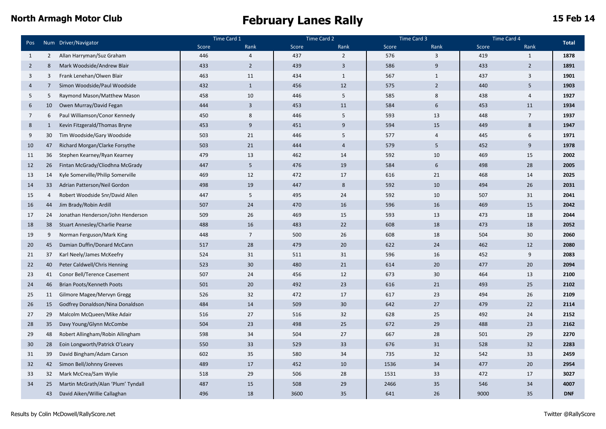|                 |                | Num Driver/Navigator               | Time Card 1 |                 | Time Card 2 |                | Time Card 3 |                  |       | Time Card 4    |              |
|-----------------|----------------|------------------------------------|-------------|-----------------|-------------|----------------|-------------|------------------|-------|----------------|--------------|
| Pos             |                |                                    | Score       | Rank            | Score       | Rank           | Score       | Rank             | Score | Rank           | <b>Total</b> |
| 1               | $\overline{2}$ | Allan Harryman/Suz Graham          | 446         | $\overline{4}$  | 437         | $\overline{2}$ | 576         | 3                | 419   | $\mathbf{1}$   | 1878         |
| $\overline{2}$  | 8              | Mark Woodside/Andrew Blair         | 433         | $\overline{2}$  | 439         | $\overline{3}$ | 586         | 9                | 433   | $\overline{2}$ | 1891         |
| 3               | 3              | Frank Lenehan/Olwen Blair          | 463         | 11              | 434         | $\mathbf{1}$   | 567         | $\mathbf{1}$     | 437   | 3              | 1901         |
| $\overline{4}$  | 7              | Simon Woodside/Paul Woodside       | 432         | $\mathbf{1}$    | 456         | 12             | 575         | $\overline{2}$   | 440   | 5              | 1903         |
| 5               | 5              | Raymond Mason/Matthew Mason        | 458         | 10              | 446         | 5              | 585         | $\,8\,$          | 438   | $\overline{4}$ | 1927         |
| 6               | 10             | Owen Murray/David Fegan            | 444         | $\overline{3}$  | 453         | 11             | 584         | 6                | 453   | 11             | 1934         |
| $7\overline{ }$ | 6              | Paul Williamson/Conor Kennedy      | 450         | 8               | 446         | 5              | 593         | 13               | 448   | $\overline{7}$ | 1937         |
| 8               | $\mathbf{1}$   | Kevin Fitzgerald/Thomas Bryne      | 453         | $9\,$           | 451         | 9              | 594         | 15               | 449   | 8              | 1947         |
| 9               | 30             | Tim Woodside/Gary Woodside         | 503         | 21              | 446         | 5              | 577         | $\sqrt{4}$       | 445   | 6              | 1971         |
| 10              | 47             | Richard Morgan/Clarke Forsythe     | 503         | 21              | 444         | $\overline{4}$ | 579         | 5                | 452   | 9              | 1978         |
| 11              | 36             | Stephen Kearney/Ryan Kearney       | 479         | 13              | 462         | 14             | 592         | 10               | 469   | 15             | 2002         |
| 12              | 26             | Fintan McGrady/Cliodhna McGrady    | 447         | 5               | 476         | 19             | 584         | $\boldsymbol{6}$ | 498   | 28             | 2005         |
| 13              | 14             | Kyle Somerville/Philip Somerville  | 469         | 12              | 472         | 17             | 616         | 21               | 468   | 14             | 2025         |
| 14              | 33             | Adrian Patterson/Neil Gordon       | 498         | 19              | 447         | 8              | 592         | 10               | 494   | 26             | 2031         |
| 15              | $\overline{4}$ | Robert Woodside Snr/David Allen    | 447         | 5               | 495         | 24             | 592         | 10               | 507   | 31             | 2041         |
| 16              | 44             | Jim Brady/Robin Ardill             | 507         | 24              | 470         | 16             | 596         | 16               | 469   | 15             | 2042         |
| 17              | 24             | Jonathan Henderson/John Henderson  | 509         | 26              | 469         | 15             | 593         | 13               | 473   | 18             | 2044         |
| 18              | 38             | Stuart Annesley/Charlie Pearse     | 488         | 16              | 483         | 22             | 608         | 18               | 473   | 18             | 2052         |
| 19              | 9              | Norman Ferguson/Mark King          | 448         | $7\overline{ }$ | 500         | 26             | 608         | 18               | 504   | 30             | 2060         |
| 20              | 45             | Damian Duffin/Donard McCann        | 517         | 28              | 479         | 20             | 622         | 24               | 462   | 12             | 2080         |
| 21              | 37             | Karl Neely/James McKeefry          | 524         | 31              | 511         | 31             | 596         | 16               | 452   | 9              | 2083         |
| 22              | 40             | Peter Caldwell/Chris Henning       | 523         | 30              | 480         | 21             | 614         | 20               | 477   | 20             | 2094         |
| 23              | 41             | Conor Bell/Terence Casement        | 507         | 24              | 456         | 12             | 673         | 30               | 464   | 13             | 2100         |
| 24              | 46             | Brian Poots/Kenneth Poots          | 501         | 20              | 492         | 23             | 616         | 21               | 493   | 25             | 2102         |
| 25              | 11             | Gilmore Magee/Mervyn Gregg         | 526         | 32              | 472         | 17             | 617         | 23               | 494   | 26             | 2109         |
| 26              | 15             | Godfrey Donaldson/Nina Donaldson   | 484         | 14              | 509         | 30             | 642         | 27               | 479   | 22             | 2114         |
| 27              | 29             | Malcolm McQueen/Mike Adair         | 516         | 27              | 516         | 32             | 628         | 25               | 492   | 24             | 2152         |
| 28              | 35             | Davy Young/Glynn McCombe           | 504         | 23              | 498         | 25             | 672         | 29               | 488   | 23             | 2162         |
| 29              | 48             | Robert Allingham/Robin Allingham   | 598         | 34              | 504         | 27             | 667         | 28               | 501   | 29             | 2270         |
| 30              | 28             | Eoin Longworth/Patrick O'Leary     | 550         | 33              | 529         | 33             | 676         | 31               | 528   | 32             | 2283         |
| 31              | 39             | David Bingham/Adam Carson          | 602         | 35              | 580         | 34             | 735         | 32               | 542   | 33             | 2459         |
| 32              | 42             | Simon Bell/Johnny Greeves          | 489         | 17              | 452         | 10             | 1536        | 34               | 477   | 20             | 2954         |
| 33              | 32             | Mark McCrea/Sam Wylie              | 518         | 29              | 506         | 28             | 1531        | 33               | 472   | 17             | 3027         |
| 34              | 25             | Martin McGrath/Alan 'Plum' Tyndall | 487         | 15              | 508         | 29             | 2466        | 35               | 546   | 34             | 4007         |
|                 | 43             | David Aiken/Willie Callaghan       | 496         | 18              | 3600        | 35             | 641         | 26               | 9000  | 35             | <b>DNF</b>   |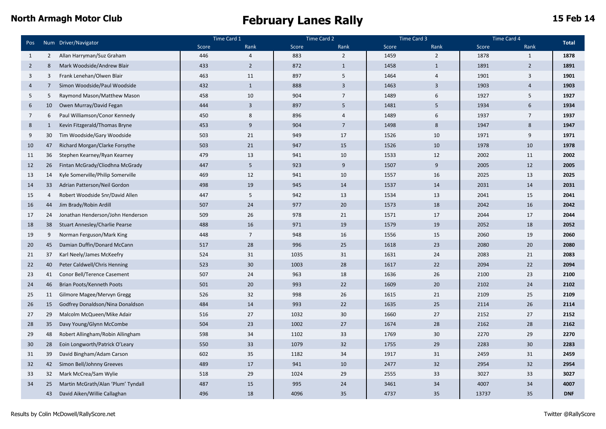|                 |                |                                       | Time Card 1 |                | Time Card 2 |                | Time Card 3 |                | Time Card 4 |                |              |
|-----------------|----------------|---------------------------------------|-------------|----------------|-------------|----------------|-------------|----------------|-------------|----------------|--------------|
| Pos             |                | Num Driver/Navigator                  | Score       | Rank           | Score       | Rank           | Score       | Rank           | Score       | Rank           | <b>Total</b> |
| 1               | 2              | Allan Harryman/Suz Graham             | 446         | $\overline{4}$ | 883         | $\overline{2}$ | 1459        | $\overline{2}$ | 1878        | 1              | 1878         |
| $\overline{2}$  | 8              | Mark Woodside/Andrew Blair            | 433         | $\overline{2}$ | 872         | $\mathbf{1}$   | 1458        | $\mathbf{1}$   | 1891        | $\overline{2}$ | 1891         |
| $\overline{3}$  | 3              | Frank Lenehan/Olwen Blair             | 463         | 11             | 897         | 5              | 1464        | $\overline{4}$ | 1901        | $\overline{3}$ | 1901         |
| $\overline{4}$  | $\overline{7}$ | Simon Woodside/Paul Woodside          | 432         | $\mathbf{1}$   | 888         | $\overline{3}$ | 1463        | 3              | 1903        | $\overline{4}$ | 1903         |
| 5               | 5              | Raymond Mason/Matthew Mason           | 458         | 10             | 904         | $\overline{7}$ | 1489        | 6              | 1927        | 5              | 1927         |
| 6               | 10             | Owen Murray/David Fegan               | 444         | $\overline{3}$ | 897         | 5              | 1481        | 5              | 1934        | 6              | 1934         |
| $7\overline{ }$ | 6              | Paul Williamson/Conor Kennedy         | 450         | 8              | 896         | $\overline{A}$ | 1489        | 6              | 1937        | $\overline{7}$ | 1937         |
| 8               | 1              | Kevin Fitzgerald/Thomas Bryne         | 453         | 9              | 904         | $\overline{7}$ | 1498        | 8              | 1947        | 8              | 1947         |
| 9               | 30             | Tim Woodside/Gary Woodside            | 503         | 21             | 949         | 17             | 1526        | 10             | 1971        | 9              | 1971         |
| 10              | 47             | Richard Morgan/Clarke Forsythe        | 503         | 21             | 947         | 15             | 1526        | 10             | 1978        | 10             | 1978         |
| 11              | 36             | Stephen Kearney/Ryan Kearney          | 479         | 13             | 941         | 10             | 1533        | 12             | 2002        | 11             | 2002         |
| 12              | 26             | Fintan McGrady/Cliodhna McGrady       | 447         | 5              | 923         | 9              | 1507        | 9              | 2005        | 12             | 2005         |
| 13              | 14             | Kyle Somerville/Philip Somerville     | 469         | 12             | 941         | 10             | 1557        | 16             | 2025        | 13             | 2025         |
| 14              | 33             | Adrian Patterson/Neil Gordon          | 498         | 19             | 945         | 14             | 1537        | 14             | 2031        | 14             | 2031         |
| 15              | $\overline{4}$ | Robert Woodside Snr/David Allen       | 447         | 5              | 942         | 13             | 1534        | 13             | 2041        | 15             | 2041         |
| 16              | 44             | Jim Brady/Robin Ardill                | 507         | 24             | 977         | 20             | 1573        | 18             | 2042        | 16             | 2042         |
| 17              | 24             | Jonathan Henderson/John Henderson     | 509         | 26             | 978         | 21             | 1571        | 17             | 2044        | 17             | 2044         |
| 18              | 38             | <b>Stuart Annesley/Charlie Pearse</b> | 488         | 16             | 971         | 19             | 1579        | 19             | 2052        | 18             | 2052         |
| 19              | 9              | Norman Ferguson/Mark King             | 448         | $\overline{7}$ | 948         | 16             | 1556        | 15             | 2060        | 19             | 2060         |
| 20              | 45             | Damian Duffin/Donard McCann           | 517         | 28             | 996         | 25             | 1618        | 23             | 2080        | 20             | 2080         |
| 21              | 37             | Karl Neely/James McKeefry             | 524         | 31             | 1035        | 31             | 1631        | 24             | 2083        | 21             | 2083         |
| 22              | 40             | Peter Caldwell/Chris Henning          | 523         | 30             | 1003        | 28             | 1617        | 22             | 2094        | 22             | 2094         |
| 23              | 41             | Conor Bell/Terence Casement           | 507         | 24             | 963         | 18             | 1636        | 26             | 2100        | 23             | 2100         |
| 24              | 46             | Brian Poots/Kenneth Poots             | 501         | 20             | 993         | 22             | 1609        | 20             | 2102        | 24             | 2102         |
| 25              | 11             | Gilmore Magee/Mervyn Gregg            | 526         | 32             | 998         | 26             | 1615        | 21             | 2109        | 25             | 2109         |
| 26              | 15             | Godfrey Donaldson/Nina Donaldson      | 484         | 14             | 993         | 22             | 1635        | 25             | 2114        | 26             | 2114         |
| 27              | 29             | Malcolm McQueen/Mike Adair            | 516         | 27             | 1032        | 30             | 1660        | 27             | 2152        | 27             | 2152         |
| 28              | 35             | Davy Young/Glynn McCombe              | 504         | 23             | 1002        | 27             | 1674        | 28             | 2162        | 28             | 2162         |
| 29              | 48             | Robert Allingham/Robin Allingham      | 598         | 34             | 1102        | 33             | 1769        | 30             | 2270        | 29             | 2270         |
| 30              | 28             | Eoin Longworth/Patrick O'Leary        | 550         | 33             | 1079        | 32             | 1755        | 29             | 2283        | 30             | 2283         |
| 31              | 39             | David Bingham/Adam Carson             | 602         | 35             | 1182        | 34             | 1917        | 31             | 2459        | 31             | 2459         |
| 32              | 42             | Simon Bell/Johnny Greeves             | 489         | 17             | 941         | 10             | 2477        | 32             | 2954        | 32             | 2954         |
| 33              | 32             | Mark McCrea/Sam Wylie                 | 518         | 29             | 1024        | 29             | 2555        | 33             | 3027        | 33             | 3027         |
| 34              | 25             | Martin McGrath/Alan 'Plum' Tyndall    | 487         | 15             | 995         | 24             | 3461        | 34             | 4007        | 34             | 4007         |
|                 | 43             | David Aiken/Willie Callaghan          | 496         | 18             | 4096        | 35             | 4737        | 35             | 13737       | 35             | <b>DNF</b>   |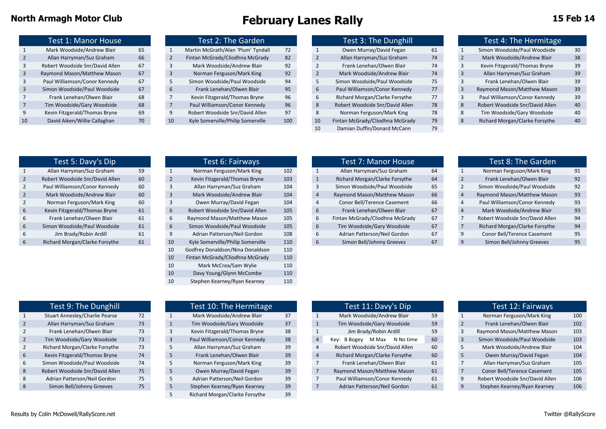|                | <b>Test 1: Manor House</b>      |    |
|----------------|---------------------------------|----|
| $\mathbf{1}$   | Mark Woodside/Andrew Blair      | 65 |
| $\overline{2}$ | Allan Harryman/Suz Graham       | 66 |
| 3              | Robert Woodside Snr/David Allen | 67 |
| 3              | Raymond Mason/Matthew Mason     | 67 |
| 3              | Paul Williamson/Conor Kennedy   | 67 |
| 3              | Simon Woodside/Paul Woodside    | 67 |
| 7              | Frank Lenehan/Olwen Blair       | 68 |
| $\overline{7}$ | Tim Woodside/Gary Woodside      | 68 |
| q              | Kevin Fitzgerald/Thomas Bryne   | 69 |
| 10             | David Aiken/Willie Callaghan    | 70 |
|                |                                 |    |

| <b>Test 2: The Garden</b> |                                    |     |  |  |  |  |  |  |  |  |
|---------------------------|------------------------------------|-----|--|--|--|--|--|--|--|--|
| 1                         | Martin McGrath/Alan 'Plum' Tyndall | 72  |  |  |  |  |  |  |  |  |
| $\overline{2}$            | Fintan McGrady/Cliodhna McGrady    | 82  |  |  |  |  |  |  |  |  |
| 3                         | Mark Woodside/Andrew Blair         | 92  |  |  |  |  |  |  |  |  |
| 3                         | Norman Ferguson/Mark King          | 92  |  |  |  |  |  |  |  |  |
| 5                         | Simon Woodside/Paul Woodside       | 94  |  |  |  |  |  |  |  |  |
| 6                         | Frank Lenehan/Olwen Blair          | 95  |  |  |  |  |  |  |  |  |
| $\overline{7}$            | Kevin Fitzgerald/Thomas Bryne      | 96  |  |  |  |  |  |  |  |  |
| 7                         | Paul Williamson/Conor Kennedy      | 96  |  |  |  |  |  |  |  |  |
| q                         | Robert Woodside Snr/David Allen    | 97  |  |  |  |  |  |  |  |  |
| 10                        | Kyle Somerville/Philip Somerville  | 100 |  |  |  |  |  |  |  |  |

|    | Test 1: Manor House             |    |    | Test 2: The Garden                 |     |    | Test 3: The Dunghill            |    | Test 4: The Hermitage           |    |
|----|---------------------------------|----|----|------------------------------------|-----|----|---------------------------------|----|---------------------------------|----|
|    | Mark Woodside/Andrew Blair      | 65 |    | Martin McGrath/Alan 'Plum' Tyndall | 72  |    | Owen Murray/David Fegan         | 61 | Simon Woodside/Paul Woodside    | 30 |
|    | Allan Harryman/Suz Graham       | 66 |    | Fintan McGrady/Cliodhna McGrady    | 82  |    | Allan Harryman/Suz Graham       | 74 | Mark Woodside/Andrew Blair      | 38 |
|    | Robert Woodside Snr/David Allen | 67 |    | Mark Woodside/Andrew Blair         | 92  |    | Frank Lenehan/Olwen Blair       | 74 | Kevin Fitzgerald/Thomas Bryne   | 39 |
|    | Raymond Mason/Matthew Mason     | 67 |    | Norman Ferguson/Mark King          | 92  |    | Mark Woodside/Andrew Blair      | 74 | Allan Harryman/Suz Graham       | 39 |
|    | Paul Williamson/Conor Kennedy   | 67 |    | Simon Woodside/Paul Woodside       | 94  |    | Simon Woodside/Paul Woodside    | 75 | Frank Lenehan/Olwen Blair       | 39 |
|    | Simon Woodside/Paul Woodside    | 67 |    | Frank Lenehan/Olwen Blair          | 95  | 6  | Paul Williamson/Conor Kennedy   | 77 | Raymond Mason/Matthew Mason     | 39 |
|    | Frank Lenehan/Olwen Blair       | 68 |    | Kevin Fitzgerald/Thomas Bryne      | 96  | b  | Richard Morgan/Clarke Forsythe  | 77 | Paul Williamson/Conor Kennedy   | 39 |
|    | Tim Woodside/Gary Woodside      | 68 |    | Paul Williamson/Conor Kennedy      | 96  | 8  | Robert Woodside Snr/David Allen | 78 | Robert Woodside Snr/David Allen | 40 |
|    | Kevin Fitzgerald/Thomas Bryne   | 69 |    | Robert Woodside Snr/David Allen    | 97  | 8  | Norman Ferguson/Mark King       | 78 | Tim Woodside/Gary Woodside      | 40 |
| 10 | David Aiken/Willie Callaghan    | 70 | 10 | Kyle Somerville/Philip Somerville  | 100 | 10 | Fintan McGrady/Cliodhna McGrady | 79 | Richard Morgan/Clarke Forsythe  | 40 |
|    |                                 |    |    |                                    |     |    | Damian Duffin/Donard McCann     | 79 |                                 |    |
|    |                                 |    |    |                                    |     |    |                                 |    |                                 |    |

|              | Test 4: The Hermitage           |    |
|--------------|---------------------------------|----|
| $\mathbf{1}$ | Simon Woodside/Paul Woodside    | 30 |
| 2            | Mark Woodside/Andrew Blair      | 38 |
| 3            | Kevin Fitzgerald/Thomas Bryne   | 39 |
| 3            | Allan Harryman/Suz Graham       | 39 |
| 3            | Frank Lenehan/Olwen Blair       | 39 |
| 3            | Raymond Mason/Matthew Mason     | 39 |
| 3            | Paul Williamson/Conor Kennedy   | 39 |
| 8            | Robert Woodside Snr/David Allen | 40 |
| 8            | Tim Woodside/Gary Woodside      | 40 |
| 8            | Richard Morgan/Clarke Forsythe  | 40 |
|              |                                 |    |

|                | Test 5: Davy's Dip              |           |
|----------------|---------------------------------|-----------|
| $\mathbf{1}$   | Allan Harryman/Suz Graham       | <b>59</b> |
| $\overline{2}$ | Robert Woodside Snr/David Allen | 60        |
| 2              | Paul Williamson/Conor Kennedy   | 60        |
| $\overline{2}$ | Mark Woodside/Andrew Blair      | 60        |
| 2              | Norman Ferguson/Mark King       | 60        |
| 6              | Kevin Fitzgerald/Thomas Bryne   | 61        |
| 6              | Frank Lenehan/Olwen Blair       | 61        |
| 6              | Simon Woodside/Paul Woodside    | 61        |
| 6              | Jim Brady/Robin Ardill          | 61        |
| 6              | Richard Morgan/Clarke Forsythe  | 61        |
|                |                                 |           |

| Test 5: Davy's Dip              |    |                | Test 6: Fairways                  |     |                | Test 7: Manor House             |    |  | Test 8: The Garden              |    |
|---------------------------------|----|----------------|-----------------------------------|-----|----------------|---------------------------------|----|--|---------------------------------|----|
| Allan Harryman/Suz Graham       | 59 |                | Norman Ferguson/Mark King         | 102 |                | Allan Harryman/Suz Graham       | 64 |  | Norman Ferguson/Mark King       | 91 |
| Robert Woodside Snr/David Allen | 60 | $\overline{2}$ | Kevin Fitzgerald/Thomas Bryne     | 103 |                | Richard Morgan/Clarke Forsythe  | 64 |  | Frank Lenehan/Olwen Blair       | 92 |
| Paul Williamson/Conor Kennedy   | 60 |                | Allan Harryman/Suz Graham         | 104 |                | Simon Woodside/Paul Woodside    | 65 |  | Simon Woodside/Paul Woodside    | 92 |
| Mark Woodside/Andrew Blair      | 60 | 3              | Mark Woodside/Andrew Blair        | 104 | $\overline{4}$ | Raymond Mason/Matthew Mason     | 66 |  | Raymond Mason/Matthew Mason     | 93 |
| Norman Ferguson/Mark King       | 60 |                | Owen Murray/David Fegan           | 104 |                | Conor Bell/Terence Casement     | 66 |  | Paul Williamson/Conor Kennedy   | 93 |
| Kevin Fitzgerald/Thomas Bryne   | 61 | 6              | Robert Woodside Snr/David Allen   | 105 | 6              | Frank Lenehan/Olwen Blair       | 67 |  | Mark Woodside/Andrew Blair      | 93 |
| Frank Lenehan/Olwen Blair       | 61 | b              | Raymond Mason/Matthew Mason       | 105 | 6              | Fintan McGrady/Cliodhna McGrady | 67 |  | Robert Woodside Snr/David Allen | 94 |
| Simon Woodside/Paul Woodside    | 61 | 6              | Simon Woodside/Paul Woodside      | 105 | 6              | Tim Woodside/Gary Woodside      | 67 |  | Richard Morgan/Clarke Forsythe  | 94 |
| Jim Brady/Robin Ardill          | 61 |                | Adrian Patterson/Neil Gordon      | 108 | 6              | Adrian Patterson/Neil Gordon    | 67 |  | Conor Bell/Terence Casement     | 95 |
| Richard Morgan/Clarke Forsythe  | 61 | 10             | Kyle Somerville/Philip Somerville | 110 | 6              | Simon Bell/Johnny Greeves       | 67 |  | Simon Bell/Johnny Greeves       | 95 |
|                                 |    | 10             | Godfrey Donaldson/Nina Donaldson  | 110 |                |                                 |    |  |                                 |    |
|                                 |    | 10             | Fintan McGrady/Cliodhna McGrady   | 110 |                |                                 |    |  |                                 |    |
|                                 |    | 10             | Mark McCrea/Sam Wylie             | 110 |                |                                 |    |  |                                 |    |
|                                 |    | 10             | Davy Young/Glynn McCombe          | 110 |                |                                 |    |  |                                 |    |
|                                 |    | 10             | Stephen Kearney/Ryan Kearney      | 110 |                |                                 |    |  |                                 |    |
|                                 |    |                |                                   |     |                |                                 |    |  |                                 |    |

| Test 5: Davy's Dip              |    | Test 6: Fairways                  |     |   | Test 7: Manor House             |    |  | Test 8: The Garden              |    |
|---------------------------------|----|-----------------------------------|-----|---|---------------------------------|----|--|---------------------------------|----|
| Allan Harryman/Suz Graham       | 59 | Norman Ferguson/Mark King         | 102 |   | Allan Harryman/Suz Graham       | 64 |  | Norman Ferguson/Mark King       | 91 |
| Robert Woodside Snr/David Allen | 60 | Kevin Fitzgerald/Thomas Bryne     | 103 |   | Richard Morgan/Clarke Forsythe  | 64 |  | Frank Lenehan/Olwen Blair       | 92 |
| Paul Williamson/Conor Kennedy   | 60 | Allan Harryman/Suz Graham         | 104 |   | Simon Woodside/Paul Woodside    | 65 |  | Simon Woodside/Paul Woodside    | 92 |
| Mark Woodside/Andrew Blair      | 60 | Mark Woodside/Andrew Blair        | 104 |   | Raymond Mason/Matthew Mason     | 66 |  | Raymond Mason/Matthew Mason     | 93 |
| Norman Ferguson/Mark King       | 60 | Owen Murray/David Fegan           | 104 |   | Conor Bell/Terence Casement     | 66 |  | Paul Williamson/Conor Kennedy   | 93 |
| Kevin Fitzgerald/Thomas Bryne   | 61 | Robert Woodside Snr/David Allen   | 105 |   | Frank Lenehan/Olwen Blair       | 67 |  | Mark Woodside/Andrew Blair      | 93 |
| Frank Lenehan/Olwen Blair       | 61 | Raymond Mason/Matthew Mason       | 105 |   | Fintan McGrady/Cliodhna McGrady | 67 |  | Robert Woodside Snr/David Allen | 94 |
| Simon Woodside/Paul Woodside    | 61 | Simon Woodside/Paul Woodside      | 105 | 6 | Tim Woodside/Gary Woodside      | 67 |  | Richard Morgan/Clarke Forsythe  | 94 |
| Jim Brady/Robin Ardill          | 61 | Adrian Patterson/Neil Gordon      | 108 |   | Adrian Patterson/Neil Gordon    | 67 |  | Conor Bell/Terence Casement     | 95 |
| Richard Morgan/Clarke Forsythe  | 61 | Kyle Somerville/Philip Somerville | 110 |   | Simon Bell/Johnny Greeves       | 67 |  | Simon Bell/Johnny Greeves       | 95 |

|                | <b>Test 8: The Garden</b>       |    |
|----------------|---------------------------------|----|
| $\mathbf{1}$   | Norman Ferguson/Mark King       | 91 |
| $\overline{2}$ | Frank Lenehan/Olwen Blair       | 92 |
| $\overline{2}$ | Simon Woodside/Paul Woodside    | 92 |
| 4              | Raymond Mason/Matthew Mason     | 93 |
| 4              | Paul Williamson/Conor Kennedy   | 93 |
| 4              | Mark Woodside/Andrew Blair      | 93 |
| 7              | Robert Woodside Snr/David Allen | 94 |
| 7              | Richard Morgan/Clarke Forsythe  | 94 |
| 9              | Conor Bell/Terence Casement     | 95 |
| q              | Simon Bell/Johnny Greeves       | 95 |

|                | Test 9: The Dunghill                  |    |
|----------------|---------------------------------------|----|
| $\mathbf{1}$   | <b>Stuart Annesley/Charlie Pearse</b> | 72 |
| $\overline{2}$ | Allan Harryman/Suz Graham             | 73 |
| 2              | Frank Lenehan/Olwen Blair             | 73 |
| $\overline{2}$ | Tim Woodside/Gary Woodside            | 73 |
| 2              | Richard Morgan/Clarke Forsythe        | 73 |
| 6              | Kevin Fitzgerald/Thomas Bryne         | 74 |
| 6              | Simon Woodside/Paul Woodside          | 74 |
| 8              | Robert Woodside Snr/David Allen       | 75 |
| 8              | Adrian Patterson/Neil Gordon          | 75 |
| 8              | Simon Bell/Johnny Greeves             | 75 |
|                |                                       |    |

|              | Test 10: The Hermitage         |    |
|--------------|--------------------------------|----|
| $\mathbf{1}$ | Mark Woodside/Andrew Blair     | 37 |
| $\mathbf{1}$ | Tim Woodside/Gary Woodside     | 37 |
| 3            | Kevin Fitzgerald/Thomas Bryne  | 38 |
| 3            | Paul Williamson/Conor Kennedy  | 38 |
| 5            | Allan Harryman/Suz Graham      | 39 |
| 5            | Frank Lenehan/Olwen Blair      | 39 |
| 5            | Norman Ferguson/Mark King      | 39 |
| 5            | Owen Murray/David Fegan        | 39 |
| 5            | Adrian Patterson/Neil Gordon   | 39 |
| 5            | Stephen Kearney/Ryan Kearney   | 39 |
| 5            | Richard Morgan/Clarke Forsythe | 39 |

| Test 9: The Dunghill            |    | Test 10: The Hermitage        |    | Test 11: Davy's Dip                   |    |  | Test 12: Fairways               |     |
|---------------------------------|----|-------------------------------|----|---------------------------------------|----|--|---------------------------------|-----|
| Stuart Annesley/Charlie Pearse  | 72 | Mark Woodside/Andrew Blair    | 37 | Mark Woodside/Andrew Blair            | 59 |  | Norman Ferguson/Mark King       | 100 |
| Allan Harryman/Suz Graham       | 73 | Tim Woodside/Gary Woodside    | 37 | Tim Woodside/Gary Woodside            | 59 |  | Frank Lenehan/Olwen Blair       | 102 |
| Frank Lenehan/Olwen Blair       | 73 | Kevin Fitzgerald/Thomas Bryne | 38 | Jim Brady/Robin Ardill                | 59 |  | Raymond Mason/Matthew Mason     | 103 |
| Tim Woodside/Gary Woodside      | 73 | Paul Williamson/Conor Kennedy | 38 | N No time<br>M Max<br>B Bogey<br>Kev: | 60 |  | Simon Woodside/Paul Woodside    | 103 |
| Richard Morgan/Clarke Forsythe  | 73 | Allan Harryman/Suz Graham     | 39 | Robert Woodside Snr/David Allen       | 60 |  | Mark Woodside/Andrew Blair      | 104 |
| Kevin Fitzgerald/Thomas Bryne   | 74 | Frank Lenehan/Olwen Blair     | 39 | Richard Morgan/Clarke Forsythe        | 60 |  | Owen Murray/David Fegan         | 104 |
| Simon Woodside/Paul Woodside    | 74 | Norman Ferguson/Mark King     | 39 | Frank Lenehan/Olwen Blair             | 61 |  | Allan Harryman/Suz Graham       | 105 |
| Robert Woodside Snr/David Allen | 75 | Owen Murray/David Fegan       | 39 | Raymond Mason/Matthew Mason           | 61 |  | Conor Bell/Terence Casement     | 105 |
| Adrian Patterson/Neil Gordon    | 75 | Adrian Patterson/Neil Gordon  | 39 | Paul Williamson/Conor Kennedy         | 61 |  | Robert Woodside Snr/David Allen | 106 |
| Simon Bell/Johnny Greeves       | 75 | Stephen Kearney/Ryan Kearney  | 39 | Adrian Patterson/Neil Gordon          | 61 |  | Stephen Kearney/Ryan Kearney    | 106 |
|                                 |    |                               |    |                                       |    |  |                                 |     |

|                          | Test 12: Fairways               |     |
|--------------------------|---------------------------------|-----|
| $\mathbf{1}$             | Norman Ferguson/Mark King       | 100 |
| $\overline{\phantom{0}}$ | Frank Lenehan/Olwen Blair       | 102 |
| 3                        | Raymond Mason/Matthew Mason     | 103 |
| 3                        | Simon Woodside/Paul Woodside    | 103 |
| 5                        | Mark Woodside/Andrew Blair      | 104 |
| 5                        | Owen Murray/David Fegan         | 104 |
| 7                        | Allan Harryman/Suz Graham       | 105 |
| 7                        | Conor Bell/Terence Casement     | 105 |
| 9                        | Robert Woodside Snr/David Allen | 106 |
| 9                        | Stephen Kearney/Ryan Kearney    | 106 |
|                          |                                 |     |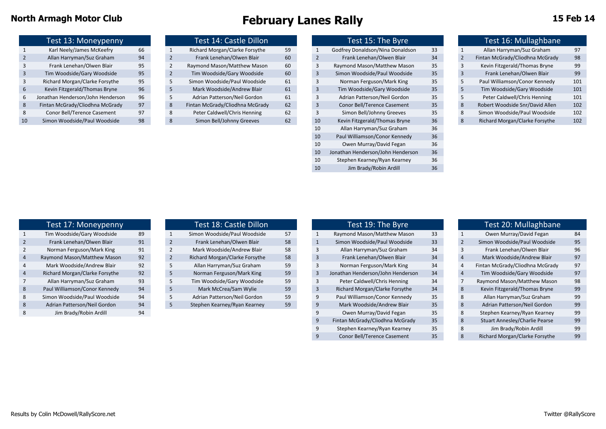|               | Test 13: Moneypenny               |    |
|---------------|-----------------------------------|----|
| $\mathbf{1}$  | Karl Neely/James McKeefry         | 66 |
| $\mathcal{P}$ | Allan Harryman/Suz Graham         | 94 |
| ς             | Frank Lenehan/Olwen Blair         | 95 |
| 3             | Tim Woodside/Gary Woodside        | 95 |
| $\mathbf{a}$  | Richard Morgan/Clarke Forsythe    | 95 |
| 6             | Kevin Fitzgerald/Thomas Bryne     | 96 |
| 6             | Jonathan Henderson/John Henderson | 96 |
| 8             | Fintan McGrady/Cliodhna McGrady   | 97 |
| 8             | Conor Bell/Terence Casement       | 97 |
| 10            | Simon Woodside/Paul Woodside      | 98 |
|               |                                   |    |

|               | Test 14: Castle Dillon          |    |
|---------------|---------------------------------|----|
| $\mathbf{1}$  | Richard Morgan/Clarke Forsythe  | 59 |
| 2             | Frank Lenehan/Olwen Blair       | 60 |
| $\mathcal{P}$ | Raymond Mason/Matthew Mason     | 60 |
| 2             | Tim Woodside/Gary Woodside      | 60 |
| 5             | Simon Woodside/Paul Woodside    | 61 |
| 5             | Mark Woodside/Andrew Blair      | 61 |
| 5             | Adrian Patterson/Neil Gordon    | 61 |
| $\mathbf{8}$  | Fintan McGrady/Cliodhna McGrady | 62 |
| 8             | Peter Caldwell/Chris Henning    | 62 |
| 8             | Simon Bell/Johnny Greeves       | 62 |

| Test 16: Mullaghbane                                  |
|-------------------------------------------------------|
| Allan Harryman/Suz Graham<br>97                       |
| Fintan McGrady/Cliodhna McGrady<br>98                 |
| Kevin Fitzgerald/Thomas Bryne<br>99                   |
| 99<br>Frank Lenehan/Olwen Blair<br>3                  |
| Paul Williamson/Conor Kennedy<br>101                  |
| Tim Woodside/Gary Woodside<br>101                     |
| Peter Caldwell/Chris Henning<br>101                   |
| Robert Woodside Snr/David Allen<br>102                |
| Simon Woodside/Paul Woodside<br>102                   |
| Richard Morgan/Clarke Forsythe<br>102<br>$\mathbf{8}$ |
|                                                       |
|                                                       |
|                                                       |
|                                                       |
|                                                       |
|                                                       |
|                                                       |

| Test 16: Mullaghbane            |     |
|---------------------------------|-----|
| Allan Harryman/Suz Graham       | 97  |
| Fintan McGrady/Cliodhna McGrady | 98  |
| Kevin Fitzgerald/Thomas Bryne   | 99  |
| Frank Lenehan/Olwen Blair       | 99  |
| Paul Williamson/Conor Kennedy   | 101 |
| Tim Woodside/Gary Woodside      | 101 |
| Peter Caldwell/Chris Henning    | 101 |
| Robert Woodside Snr/David Allen | 102 |

|                | Test 17: Moneypenny            |                |
|----------------|--------------------------------|----------------|
| $\mathbf{1}$   | Tim Woodside/Gary Woodside     | 8s             |
| $\overline{2}$ | Frank Lenehan/Olwen Blair      | 91             |
| 2              | Norman Ferguson/Mark King      | 91             |
| 4              | Raymond Mason/Matthew Mason    | 92             |
| 4              | Mark Woodside/Andrew Blair     | 92             |
| $\overline{4}$ | Richard Morgan/Clarke Forsythe | 92             |
| 7              | Allan Harryman/Suz Graham      | 9 <sup>2</sup> |
| 8              | Paul Williamson/Conor Kennedy  | 94             |
| 8              | Simon Woodside/Paul Woodside   | 94             |
| 8              | Adrian Patterson/Neil Gordon   | 94             |
| 8              | Jim Brady/Robin Ardill         | 94             |
|                |                                |                |

|   | Test 18: Castle Dillon         |    |
|---|--------------------------------|----|
| 1 | Simon Woodside/Paul Woodside   | 57 |
| 2 | Frank Lenehan/Olwen Blair      | 58 |
| 2 | Mark Woodside/Andrew Blair     | 58 |
| 2 | Richard Morgan/Clarke Forsythe | 58 |
| 5 | Allan Harryman/Suz Graham      | 59 |
| 5 | Norman Ferguson/Mark King      | 59 |
| 5 | Tim Woodside/Gary Woodside     | 59 |
| 5 | Mark McCrea/Sam Wylie          | 59 |
| 5 | Adrian Patterson/Neil Gordon   | 59 |
| 5 | Stephen Kearney/Ryan Kearney   | 59 |
|   |                                |    |

| Test 17: Moneypenny |                                |    |   | Test 18: Castle Dillon         |    |   | Test 19: The Byre                 |    |  | Test 20: Mullaghbane            |    |
|---------------------|--------------------------------|----|---|--------------------------------|----|---|-----------------------------------|----|--|---------------------------------|----|
|                     | Tim Woodside/Gary Woodside     | 89 |   | Simon Woodside/Paul Woodside   | 57 |   | Raymond Mason/Matthew Mason       | 33 |  | Owen Murray/David Fegan         | 84 |
|                     | Frank Lenehan/Olwen Blair      | 91 |   | Frank Lenehan/Olwen Blair      | 58 |   | Simon Woodside/Paul Woodside      | 33 |  | Simon Woodside/Paul Woodside    | 95 |
|                     | Norman Ferguson/Mark King      | 91 |   | Mark Woodside/Andrew Blair     | 58 |   | Allan Harryman/Suz Graham         | 34 |  | Frank Lenehan/Olwen Blair       | 96 |
|                     | Raymond Mason/Matthew Mason    | 92 |   | Richard Morgan/Clarke Forsythe | 58 |   | Frank Lenehan/Olwen Blair         | 34 |  | Mark Woodside/Andrew Blair      | 97 |
|                     | Mark Woodside/Andrew Blair     | 92 |   | Allan Harryman/Suz Graham      | 59 |   | Norman Ferguson/Mark King         | 34 |  | Fintan McGrady/Cliodhna McGrady | 97 |
|                     | Richard Morgan/Clarke Forsythe | 92 | 5 | Norman Ferguson/Mark King      | 59 |   | Jonathan Henderson/John Henderson | 34 |  | Tim Woodside/Gary Woodside      | 97 |
|                     | Allan Harryman/Suz Graham      | 93 |   | Tim Woodside/Gary Woodside     | 59 |   | Peter Caldwell/Chris Henning      | 34 |  | Raymond Mason/Matthew Mason     | 98 |
|                     | Paul Williamson/Conor Kennedy  | 94 |   | Mark McCrea/Sam Wylie          | 59 |   | Richard Morgan/Clarke Forsythe    | 34 |  | Kevin Fitzgerald/Thomas Bryne   | 99 |
|                     | Simon Woodside/Paul Woodside   | 94 |   | Adrian Patterson/Neil Gordon   | 59 |   | Paul Williamson/Conor Kennedy     | 35 |  | Allan Harryman/Suz Graham       | 99 |
|                     | Adrian Patterson/Neil Gordon   | 94 |   | Stephen Kearney/Ryan Kearney   | 59 | 9 | Mark Woodside/Andrew Blair        | 35 |  | Adrian Patterson/Neil Gordon    | 99 |
|                     | Jim Brady/Robin Ardill         | 94 |   |                                |    |   | Owen Murray/David Fegan           | 35 |  | Stephen Kearney/Ryan Kearney    | 99 |
|                     |                                |    |   |                                |    |   | Fintan McGrady/Cliodhna McGrady   | 35 |  | Stuart Annesley/Charlie Pearse  | 99 |
|                     |                                |    |   |                                |    |   | Stephen Kearney/Ryan Kearney      | 35 |  | Jim Brady/Robin Ardill          | 99 |
|                     |                                |    |   |                                |    |   | Conor Bell/Terence Casement       | 35 |  | Richard Morgan/Clarke Forsythe  | 99 |

|                | Test 19: The Byre                 |    |                | Test 20: Mullaghbane            |    |
|----------------|-----------------------------------|----|----------------|---------------------------------|----|
| $\overline{1}$ | Raymond Mason/Matthew Mason       | 33 | $\mathbf{1}$   | Owen Murray/David Fegan         | 84 |
| $\overline{1}$ | Simon Woodside/Paul Woodside      | 33 | $\overline{2}$ | Simon Woodside/Paul Woodside    | 95 |
| 3              | Allan Harryman/Suz Graham         | 34 | 3              | Frank Lenehan/Olwen Blair       | 96 |
| 3              | Frank Lenehan/Olwen Blair         | 34 | $\overline{4}$ | Mark Woodside/Andrew Blair      | 97 |
| 3              | Norman Ferguson/Mark King         | 34 | $\overline{4}$ | Fintan McGrady/Cliodhna McGrady | 97 |
| 3              | Jonathan Henderson/John Henderson | 34 | $\overline{4}$ | Tim Woodside/Gary Woodside      | 97 |
| 3              | Peter Caldwell/Chris Henning      | 34 | 7              | Raymond Mason/Matthew Mason     | 98 |
| 3              | Richard Morgan/Clarke Forsythe    | 34 | 8              | Kevin Fitzgerald/Thomas Bryne   | 99 |
| 9              | Paul Williamson/Conor Kennedy     | 35 | 8              | Allan Harryman/Suz Graham       | 99 |
| 9              | Mark Woodside/Andrew Blair        | 35 | 8              | Adrian Patterson/Neil Gordon    | 99 |
| 9              | Owen Murray/David Fegan           | 35 | 8              | Stephen Kearney/Ryan Kearney    | 99 |
| 9              | Fintan McGrady/Cliodhna McGrady   | 35 | 8              | Stuart Annesley/Charlie Pearse  | 99 |
| 9              | Stephen Kearney/Ryan Kearney      | 35 | 8              | Jim Brady/Robin Ardill          | 99 |
| 9              | Conor Bell/Terence Casement       | 35 | 8              | Richard Morgan/Clarke Forsythe  | 99 |
|                |                                   |    |                |                                 |    |